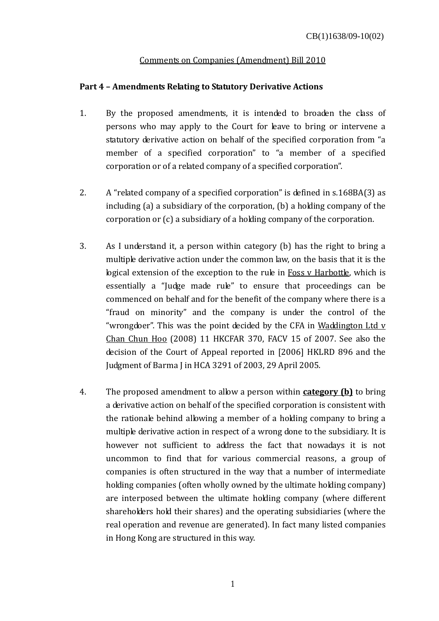## Comments on Companies (Amendment) Bill 2010

## **Part 4 – Amendments Relating to Statutory Derivative Actions**

- 1. By the proposed amendments, it is intended to broaden the class of persons who may apply to the Court for leave to bring or intervene a statutory derivative action on behalf of the specified corporation from "a member of a specified corporation" to "a member of a specified corporation or of a related company of a specified corporation".
- 2. A "related company of a specified corporation" is defined in s.168BA(3) as including (a) a subsidiary of the corporation, (b) a holding company of the corporation or (c) a subsidiary of a holding company of the corporation.
- 3. As I understand it, a person within category (b) has the right to bring a multiple derivative action under the common law, on the basis that it is the logical extension of the exception to the rule in Foss v Harbottle, which is essentially a "Judge made rule" to ensure that proceedings can be commenced on behalf and for the benefit of the company where there is a "fraud on minority" and the company is under the control of the "wrongdoer". This was the point decided by the CFA in Waddington Ltd v Chan Chun Hoo (2008) 11 HKCFAR 370, FACV 15 of 2007. See also the decision of the Court of Appeal reported in [2006] HKLRD 896 and the Judgment of Barma J in HCA 3291 of 2003, 29 April 2005.
- 4. The proposed amendment to allow a person within **category (b)** to bring a derivative action on behalf of the specified corporation is consistent with the rationale behind allowing a member of a holding company to bring a multiple derivative action in respect of a wrong done to the subsidiary. It is however not sufficient to address the fact that nowadays it is not uncommon to find that for various commercial reasons, a group of companies is often structured in the way that a number of intermediate holding companies (often wholly owned by the ultimate holding company) are interposed between the ultimate holding company (where different shareholders hold their shares) and the operating subsidiaries (where the real operation and revenue are generated). In fact many listed companies in Hong Kong are structured in this way.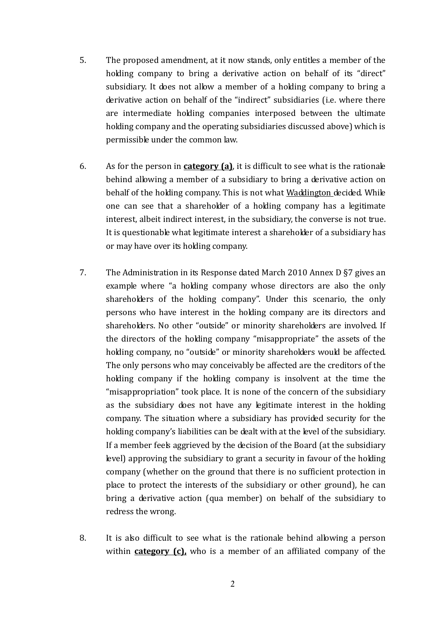- 5. The proposed amendment, at it now stands, only entitles a member of the holding company to bring a derivative action on behalf of its "direct" subsidiary. It does not allow a member of a holding company to bring a derivative action on behalf of the "indirect" subsidiaries (i.e. where there are intermediate holding companies interposed between the ultimate holding company and the operating subsidiaries discussed above) which is permissible under the common law.
- 6. As for the person in **category (a)**, it is difficult to see what is the rationale behind allowing a member of a subsidiary to bring a derivative action on behalf of the holding company. This is not what Waddington decided. While one can see that a shareholder of a holding company has a legitimate interest, albeit indirect interest, in the subsidiary, the converse is not true. It is questionable what legitimate interest a shareholder of a subsidiary has or may have over its holding company.
- 7. The Administration in its Response dated March 2010 Annex D §7 gives an example where "a holding company whose directors are also the only shareholders of the holding company". Under this scenario, the only persons who have interest in the holding company are its directors and shareholders. No other "outside" or minority shareholders are involved. If the directors of the holding company "misappropriate" the assets of the holding company, no "outside" or minority shareholders would be affected. The only persons who may conceivably be affected are the creditors of the holding company if the holding company is insolvent at the time the "misappropriation" took place. It is none of the concern of the subsidiary as the subsidiary does not have any legitimate interest in the holding company. The situation where a subsidiary has provided security for the holding company's liabilities can be dealt with at the level of the subsidiary. If a member feels aggrieved by the decision of the Board (at the subsidiary level) approving the subsidiary to grant a security in favour of the holding company (whether on the ground that there is no sufficient protection in place to protect the interests of the subsidiary or other ground), he can bring a derivative action (qua member) on behalf of the subsidiary to redress the wrong.
- 8. It is also difficult to see what is the rationale behind allowing a person within **category (c),** who is a member of an affiliated company of the